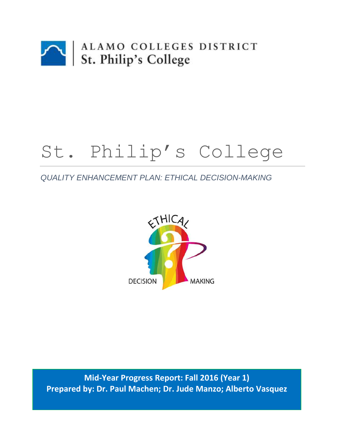

# St. Philip's College

# *QUALITY ENHANCEMENT PLAN: ETHICAL DECISION-MAKING*



**Mid-Year Progress Report: Fall 2016 (Year 1) Prepared by: Dr. Paul Machen; Dr. Jude Manzo; Alberto Vasquez**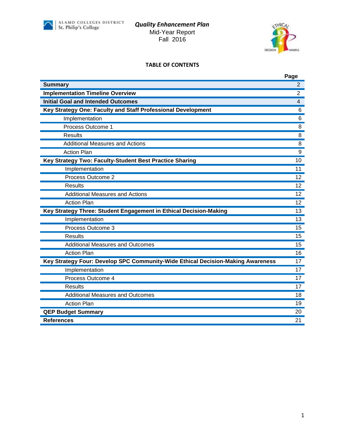

#### *Quality Enhancement Plan* Mid-Year Report Fall 2016



#### **TABLE OF CONTENTS**

| <b>Summary</b><br>2<br><b>Implementation Timeline Overview</b><br>$\overline{2}$<br><b>Initial Goal and Intended Outcomes</b><br>4<br>Key Strategy One: Faculty and Staff Professional Development<br>6<br>6<br>Implementation<br>Process Outcome 1<br>8<br><b>Results</b><br>8<br><b>Additional Measures and Actions</b><br>8<br><b>Action Plan</b><br>9<br>Key Strategy Two: Faculty-Student Best Practice Sharing<br>10<br>Implementation<br>11<br>Process Outcome 2<br>12<br>Results<br>12<br><b>Additional Measures and Actions</b><br><b>Action Plan</b><br>Key Strategy Three: Student Engagement in Ethical Decision-Making<br>13<br>Implementation<br>Process Outcome 3<br>15<br><b>Results</b><br>15<br><b>Additional Measures and Outcomes</b><br>15<br><b>Action Plan</b><br>16<br>Key Strategy Four: Develop SPC Community-Wide Ethical Decision-Making Awareness<br>17<br>Implementation<br>17<br>Process Outcome 4<br>17<br><b>Results</b><br>17<br><b>Additional Measures and Outcomes</b><br>18<br><b>Action Plan</b><br>19<br><b>QEP Budget Summary</b><br>20<br><b>References</b><br>21 | Page            |
|------------------------------------------------------------------------------------------------------------------------------------------------------------------------------------------------------------------------------------------------------------------------------------------------------------------------------------------------------------------------------------------------------------------------------------------------------------------------------------------------------------------------------------------------------------------------------------------------------------------------------------------------------------------------------------------------------------------------------------------------------------------------------------------------------------------------------------------------------------------------------------------------------------------------------------------------------------------------------------------------------------------------------------------------------------------------------------------------------------|-----------------|
|                                                                                                                                                                                                                                                                                                                                                                                                                                                                                                                                                                                                                                                                                                                                                                                                                                                                                                                                                                                                                                                                                                            |                 |
|                                                                                                                                                                                                                                                                                                                                                                                                                                                                                                                                                                                                                                                                                                                                                                                                                                                                                                                                                                                                                                                                                                            |                 |
|                                                                                                                                                                                                                                                                                                                                                                                                                                                                                                                                                                                                                                                                                                                                                                                                                                                                                                                                                                                                                                                                                                            |                 |
|                                                                                                                                                                                                                                                                                                                                                                                                                                                                                                                                                                                                                                                                                                                                                                                                                                                                                                                                                                                                                                                                                                            |                 |
|                                                                                                                                                                                                                                                                                                                                                                                                                                                                                                                                                                                                                                                                                                                                                                                                                                                                                                                                                                                                                                                                                                            |                 |
|                                                                                                                                                                                                                                                                                                                                                                                                                                                                                                                                                                                                                                                                                                                                                                                                                                                                                                                                                                                                                                                                                                            |                 |
|                                                                                                                                                                                                                                                                                                                                                                                                                                                                                                                                                                                                                                                                                                                                                                                                                                                                                                                                                                                                                                                                                                            |                 |
|                                                                                                                                                                                                                                                                                                                                                                                                                                                                                                                                                                                                                                                                                                                                                                                                                                                                                                                                                                                                                                                                                                            |                 |
|                                                                                                                                                                                                                                                                                                                                                                                                                                                                                                                                                                                                                                                                                                                                                                                                                                                                                                                                                                                                                                                                                                            |                 |
|                                                                                                                                                                                                                                                                                                                                                                                                                                                                                                                                                                                                                                                                                                                                                                                                                                                                                                                                                                                                                                                                                                            |                 |
|                                                                                                                                                                                                                                                                                                                                                                                                                                                                                                                                                                                                                                                                                                                                                                                                                                                                                                                                                                                                                                                                                                            |                 |
|                                                                                                                                                                                                                                                                                                                                                                                                                                                                                                                                                                                                                                                                                                                                                                                                                                                                                                                                                                                                                                                                                                            |                 |
|                                                                                                                                                                                                                                                                                                                                                                                                                                                                                                                                                                                                                                                                                                                                                                                                                                                                                                                                                                                                                                                                                                            |                 |
|                                                                                                                                                                                                                                                                                                                                                                                                                                                                                                                                                                                                                                                                                                                                                                                                                                                                                                                                                                                                                                                                                                            | $\overline{12}$ |
|                                                                                                                                                                                                                                                                                                                                                                                                                                                                                                                                                                                                                                                                                                                                                                                                                                                                                                                                                                                                                                                                                                            | 12              |
|                                                                                                                                                                                                                                                                                                                                                                                                                                                                                                                                                                                                                                                                                                                                                                                                                                                                                                                                                                                                                                                                                                            |                 |
|                                                                                                                                                                                                                                                                                                                                                                                                                                                                                                                                                                                                                                                                                                                                                                                                                                                                                                                                                                                                                                                                                                            | 13              |
|                                                                                                                                                                                                                                                                                                                                                                                                                                                                                                                                                                                                                                                                                                                                                                                                                                                                                                                                                                                                                                                                                                            |                 |
|                                                                                                                                                                                                                                                                                                                                                                                                                                                                                                                                                                                                                                                                                                                                                                                                                                                                                                                                                                                                                                                                                                            |                 |
|                                                                                                                                                                                                                                                                                                                                                                                                                                                                                                                                                                                                                                                                                                                                                                                                                                                                                                                                                                                                                                                                                                            |                 |
|                                                                                                                                                                                                                                                                                                                                                                                                                                                                                                                                                                                                                                                                                                                                                                                                                                                                                                                                                                                                                                                                                                            |                 |
|                                                                                                                                                                                                                                                                                                                                                                                                                                                                                                                                                                                                                                                                                                                                                                                                                                                                                                                                                                                                                                                                                                            |                 |
|                                                                                                                                                                                                                                                                                                                                                                                                                                                                                                                                                                                                                                                                                                                                                                                                                                                                                                                                                                                                                                                                                                            |                 |
|                                                                                                                                                                                                                                                                                                                                                                                                                                                                                                                                                                                                                                                                                                                                                                                                                                                                                                                                                                                                                                                                                                            |                 |
|                                                                                                                                                                                                                                                                                                                                                                                                                                                                                                                                                                                                                                                                                                                                                                                                                                                                                                                                                                                                                                                                                                            |                 |
|                                                                                                                                                                                                                                                                                                                                                                                                                                                                                                                                                                                                                                                                                                                                                                                                                                                                                                                                                                                                                                                                                                            |                 |
|                                                                                                                                                                                                                                                                                                                                                                                                                                                                                                                                                                                                                                                                                                                                                                                                                                                                                                                                                                                                                                                                                                            |                 |
|                                                                                                                                                                                                                                                                                                                                                                                                                                                                                                                                                                                                                                                                                                                                                                                                                                                                                                                                                                                                                                                                                                            |                 |
|                                                                                                                                                                                                                                                                                                                                                                                                                                                                                                                                                                                                                                                                                                                                                                                                                                                                                                                                                                                                                                                                                                            |                 |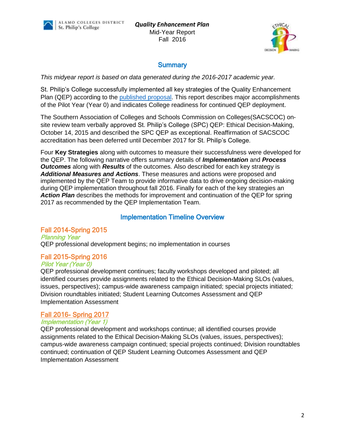

# **Summary**

*This midyear report is based on data generated during the 2016-2017 academic year.*

St. Philip's College successfully implemented all key strategies of the Quality Enhancement Plan (QEP) according to the [published](http://alamo.edu/uploadedFiles/SPC/Faculty_and_Staff/QEP/Files/QEP%20Final%208282015%201730%20SACSCOC%20submission.pdf) proposal. This report describes major accomplishments of the Pilot Year (Year 0) and indicates College readiness for continued QEP deployment.

The Southern Association of Colleges and Schools Commission on Colleges(SACSCOC) onsite review team verbally approved St. Philip's College (SPC) QEP: Ethical Decision-Making, October 14, 2015 and described the SPC QEP as exceptional. Reaffirmation of SACSCOC accreditation has been deferred until December 2017 for St. Philip's College.

Four **Key Strategies** along with outcomes to measure their successfulness were developed for the QEP. The following narrative offers summary details of *Implementation* and *Process Outcomes* along with *Results* of the outcomes. Also described for each key strategy is *Additional Measures and Actions*. These measures and actions were proposed and implemented by the QEP Team to provide informative data to drive ongoing decision-making during QEP implementation throughout fall 2016. Finally for each of the key strategies an Action Plan describes the methods for improvement and continuation of the QEP for spring 2017 as recommended by the QEP Implementation Team.

# Implementation Timeline Overview

# Fall 2014-Spring 2015

Planning Year QEP professional development begins; no implementation in courses

#### Fall 2015-Spring 2016 Pilot Year (Year 0)

QEP professional development continues; faculty workshops developed and piloted; all identified courses provide assignments related to the Ethical Decision-Making SLOs (values, issues, perspectives); campus-wide awareness campaign initiated; special projects initiated; Division roundtables initiated; Student Learning Outcomes Assessment and QEP Implementation Assessment

# Fall 2016- Spring 2017

#### Implementation (Year 1)

QEP professional development and workshops continue; all identified courses provide assignments related to the Ethical Decision-Making SLOs (values, issues, perspectives); campus-wide awareness campaign continued; special projects continued; Division roundtables continued; continuation of QEP Student Learning Outcomes Assessment and QEP Implementation Assessment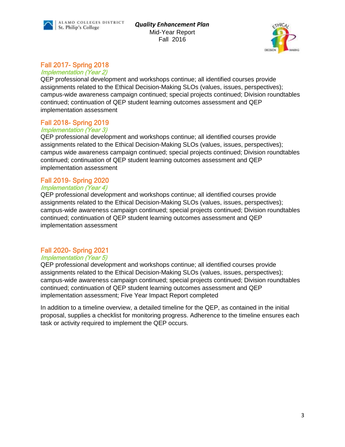*Quality Enhancement Plan* Mid-Year Report Fall 2016



# Fall 2017- Spring 2018

Implementation (Year 2)

QEP professional development and workshops continue; all identified courses provide assignments related to the Ethical Decision-Making SLOs (values, issues, perspectives); campus-wide awareness campaign continued; special projects continued; Division roundtables continued; continuation of QEP student learning outcomes assessment and QEP implementation assessment

# Fall 2018- Spring 2019

#### Implementation (Year 3)

QEP professional development and workshops continue; all identified courses provide assignments related to the Ethical Decision-Making SLOs (values, issues, perspectives); campus wide awareness campaign continued; special projects continued; Division roundtables continued; continuation of QEP student learning outcomes assessment and QEP implementation assessment

#### Fall 2019- Spring 2020 Implementation (Year 4)

QEP professional development and workshops continue; all identified courses provide assignments related to the Ethical Decision-Making SLOs (values, issues, perspectives); campus-wide awareness campaign continued; special projects continued; Division roundtables continued; continuation of QEP student learning outcomes assessment and QEP implementation assessment

# Fall 2020- Spring 2021

#### Implementation (Year 5)

QEP professional development and workshops continue; all identified courses provide assignments related to the Ethical Decision-Making SLOs (values, issues, perspectives); campus-wide awareness campaign continued; special projects continued; Division roundtables continued; continuation of QEP student learning outcomes assessment and QEP implementation assessment; Five Year Impact Report completed

In addition to a timeline overview, a detailed timeline for the QEP, as contained in the initial proposal, supplies a checklist for monitoring progress. Adherence to the timeline ensures each task or activity required to implement the QEP occurs.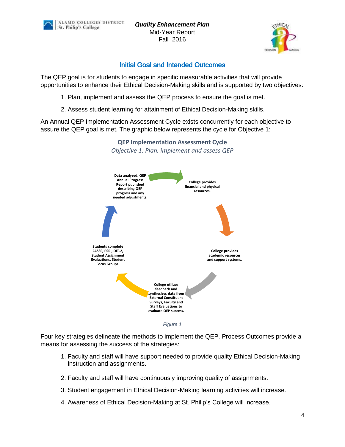*Quality Enhancement Plan* Mid-Year Report Fall 2016



# Initial Goal and Intended Outcomes

The QEP goal is for students to engage in specific measurable activities that will provide opportunities to enhance their Ethical Decision-Making skills and is supported by two objectives:

- 1. Plan, implement and assess the QEP process to ensure the goal is met.
- 2. Assess student learning for attainment of Ethical Decision-Making skills.

An Annual QEP Implementation Assessment Cycle exists concurrently for each objective to assure the QEP goal is met. The graphic below represents the cycle for Objective 1:



*Figure 1*

Four key strategies delineate the methods to implement the QEP. Process Outcomes provide a means for assessing the success of the strategies:

- 1. Faculty and staff will have support needed to provide quality Ethical Decision-Making instruction and assignments.
- 2. Faculty and staff will have continuously improving quality of assignments.
- 3. Student engagement in Ethical Decision-Making learning activities will increase.
- 4. Awareness of Ethical Decision-Making at St. Philip's College will increase.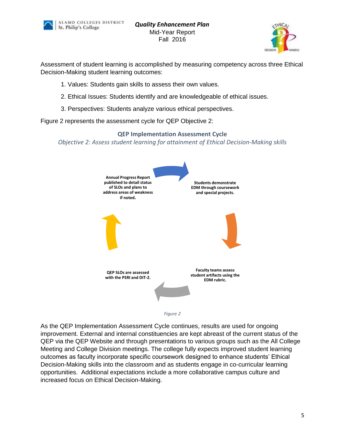



Assessment of student learning is accomplished by measuring competency across three Ethical Decision-Making student learning outcomes:

- 1. Values: Students gain skills to assess their own values.
- 2. Ethical Issues: Students identify and are knowledgeable of ethical issues.
- 3. Perspectives: Students analyze various ethical perspectives.

Figure 2 represents the assessment cycle for QEP Objective 2:

# **QEP Implementation Assessment Cycle** *Objective 2: Assess student learning for attainment of Ethical Decision-Making skills*





As the QEP Implementation Assessment Cycle continues, results are used for ongoing improvement. External and internal constituencies are kept abreast of the current status of the QEP via the QEP Website and through presentations to various groups such as the All College Meeting and College Division meetings. The college fully expects improved student learning outcomes as faculty incorporate specific coursework designed to enhance students' Ethical Decision-Making skills into the classroom and as students engage in co-curricular learning opportunities. Additional expectations include a more collaborative campus culture and increased focus on Ethical Decision-Making.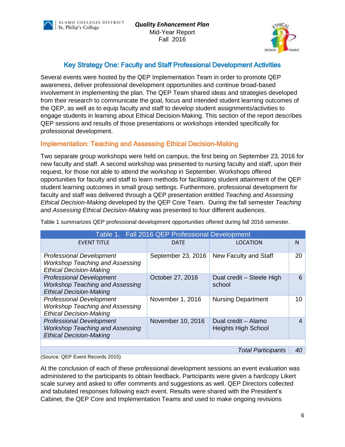



# Key Strategy One: Faculty and Staff Professional Development Activities

Several events were hosted by the QEP Implementation Team in order to promote QEP awareness, deliver professional development opportunities and continue broad-based involvement in implementing the plan. The QEP Team shared ideas and strategies developed from their research to communicate the goal, focus and intended student learning outcomes of the QEP, as well as to equip faculty and staff to develop student assignments/activities to engage students in learning about Ethical Decision-Making. This section of the report describes QEP sessions and results of those presentations or workshops intended specifically for professional development.

# Implementation: Teaching and Assessing Ethical Decision-Making

Two separate group workshops were held on campus, the first being on September 23, 2016 for new faculty and staff. A second workshop was presented to nursing faculty and staff, upon their request, for those not able to attend the workshop in September. Workshops offered opportunities for faculty and staff to learn methods for facilitating student attainment of the QEP student learning outcomes in small group settings. Furthermore, professional development for faculty and staff was delivered through a QEP presentation entitled *Teaching and Assessing Ethical Decision-Making* developed by the QEP Core Team. During the fall semester *Teaching and Assessing Ethical Decision-Making* was presented to four different audiences.

| Table 1. Fall 2016 QEP Professional Development                                                             |                    |                                                   |    |  |  |  |  |
|-------------------------------------------------------------------------------------------------------------|--------------------|---------------------------------------------------|----|--|--|--|--|
| <b>EVENT TITLE</b>                                                                                          | <b>DATE</b>        | <b>LOCATION</b>                                   | N  |  |  |  |  |
| <b>Professional Development</b><br><b>Workshop Teaching and Assessing</b><br><b>Ethical Decision-Making</b> | September 23, 2016 | New Faculty and Staff                             | 20 |  |  |  |  |
| <b>Professional Development</b><br><b>Workshop Teaching and Assessing</b><br><b>Ethical Decision-Making</b> | October 27, 2016   | Dual credit - Steele High<br>school               | 6  |  |  |  |  |
| <b>Professional Development</b><br><b>Workshop Teaching and Assessing</b><br><b>Ethical Decision-Making</b> | November 1, 2016   | <b>Nursing Department</b>                         | 10 |  |  |  |  |
| <b>Professional Development</b><br><b>Workshop Teaching and Assessing</b><br><b>Ethical Decision-Making</b> | November 10, 2016  | Dual credit - Alamo<br><b>Heights High School</b> | 4  |  |  |  |  |
|                                                                                                             |                    |                                                   |    |  |  |  |  |
| <b>Total Participants</b><br>40                                                                             |                    |                                                   |    |  |  |  |  |

Table 1 summarizes QEP professional development opportunities offered during fall 2016 semester.

(Source: QEP Event Records 2015)

At the conclusion of each of these professional development sessions an event evaluation was administered to the participants to obtain feedback. Participants were given a hardcopy Likert scale survey and asked to offer comments and suggestions as well. QEP Directors collected and tabulated responses following each event. Results were shared with the President's Cabinet, the QEP Core and Implementation Teams and used to make ongoing revisions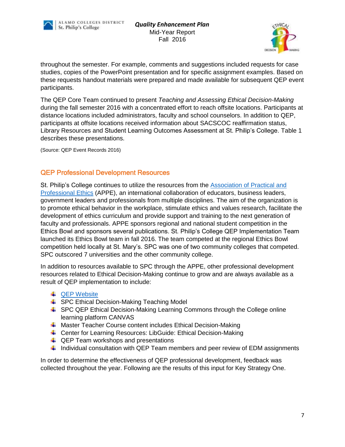



throughout the semester. For example, comments and suggestions included requests for case studies, copies of the PowerPoint presentation and for specific assignment examples. Based on these requests handout materials were prepared and made available for subsequent QEP event participants.

The QEP Core Team continued to present *Teaching and Assessing Ethical Decision-Making* during the fall semester 2016 with a concentrated effort to reach offsite locations. Participants at distance locations included administrators, faculty and school counselors. In addition to QEP, participants at offsite locations received information about SACSCOC reaffirmation status, Library Resources and Student Learning Outcomes Assessment at St. Philip's College. Table 1 describes these presentations.

(Source: QEP Event Records 2016)

# QEP Professional Development Resources

St. Philip's College continues to utilize the resources from the [Association of Practical and](http://appe.indiana.edu/)  [Professional Ethics](http://appe.indiana.edu/) (APPE), an international collaboration of educators, business leaders, government leaders and professionals from multiple disciplines. The aim of the organization is to promote ethical behavior in the workplace, stimulate ethics and values research, facilitate the development of ethics curriculum and provide support and training to the next generation of faculty and professionals. APPE sponsors regional and national student competition in the Ethics Bowl and sponsors several publications. St. Philip's College QEP Implementation Team launched its Ethics Bowl team in fall 2016. The team competed at the regional Ethics Bowl competition held locally at St. Mary's. SPC was one of two community colleges that competed. SPC outscored 7 universities and the other community college.

In addition to resources available to SPC through the APPE, other professional development resources related to Ethical Decision-Making continue to grow and are always available as a result of QEP implementation to include:

- **↓ [QEP Website](http://alamo.edu/spc/qep/)**
- **↓ SPC Ethical Decision-Making Teaching Model**
- **↓** SPC QEP Ethical Decision-Making Learning Commons through the College online learning platform CANVAS
- **4** Master Teacher Course content includes Ethical Decision-Making
- ↓ Center for Learning Resources: LibGuide: Ethical Decision-Making
- $\downarrow$  QEP Team workshops and presentations
- $\downarrow$  Individual consultation with QEP Team members and peer review of EDM assignments

In order to determine the effectiveness of QEP professional development, feedback was collected throughout the year. Following are the results of this input for Key Strategy One.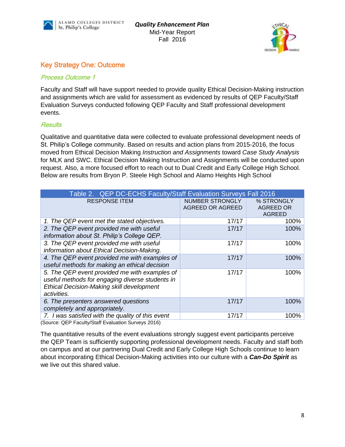



# Key Strategy One: Outcome

#### Process Outcome 1

Faculty and Staff will have support needed to provide quality Ethical Decision-Making instruction and assignments which are valid for assessment as evidenced by results of QEP Faculty/Staff Evaluation Surveys conducted following QEP Faculty and Staff professional development events.

#### **Results**

Qualitative and quantitative data were collected to evaluate professional development needs of St. Philip's College community. Based on results and action plans from 2015-2016, the focus moved from Ethical Decision Making *Instruction and Assignments* toward *Case Study Analysis* for MLK and SWC. Ethical Decision Making Instruction and Assignments will be conducted upon request. Also, a more focused effort to reach out to Dual Credit and Early College High School. Below are results from Bryon P. Steele High School and Alamo Heights High School

| Table 2. QEP DC-ECHS Faculty/Staff Evaluation Surveys Fall 2016                                                                                              |                                            |                                                 |  |  |  |  |
|--------------------------------------------------------------------------------------------------------------------------------------------------------------|--------------------------------------------|-------------------------------------------------|--|--|--|--|
| <b>RESPONSE ITEM</b>                                                                                                                                         | <b>NUMBER STRONGLY</b><br>AGREED OR AGREED | % STRONGLY<br><b>AGREED OR</b><br><b>AGREED</b> |  |  |  |  |
| 1. The QEP event met the stated objectives.                                                                                                                  | 17/17                                      | 100%                                            |  |  |  |  |
| 2. The QEP event provided me with useful<br>information about St. Philip's College QEP.                                                                      | 17/17                                      | 100%                                            |  |  |  |  |
| 3. The QEP event provided me with useful<br>information about Ethical Decision-Making.                                                                       | 17/17                                      | 100%                                            |  |  |  |  |
| 4. The QEP event provided me with examples of<br>useful methods for making an ethical decision                                                               | 17/17                                      | 100%                                            |  |  |  |  |
| 5. The QEP event provided me with examples of<br>useful methods for engaging diverse students in<br>Ethical Decision-Making skill development<br>activities. | 17/17                                      | 100%                                            |  |  |  |  |
| 6. The presenters answered questions<br>completely and appropriately.                                                                                        | 17/17                                      | 100%                                            |  |  |  |  |
| 7. I was satisfied with the quality of this event<br>(Source: OEP Eaculty/Staff Evaluation Surveys 2016)                                                     | 17/17                                      | 100%                                            |  |  |  |  |

(Source: QEP Faculty/Staff Evaluation Surveys 2016)

The quantitative results of the event evaluations strongly suggest event participants perceive the QEP Team is sufficiently supporting professional development needs. Faculty and staff both on campus and at our partnering Dual Credit and Early College High Schools continue to learn about incorporating Ethical Decision-Making activities into our culture with a *Can-Do Spirit* as we live out this shared value.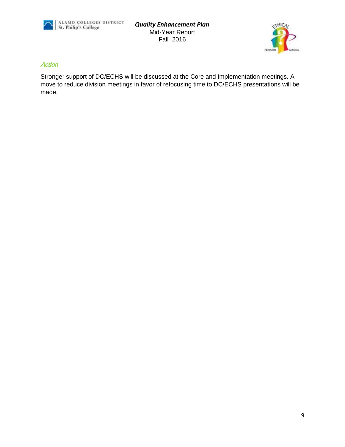

*Quality Enhancement Plan* Mid-Year Report Fall 2016



#### Action

Stronger support of DC/ECHS will be discussed at the Core and Implementation meetings. A move to reduce division meetings in favor of refocusing time to DC/ECHS presentations will be made.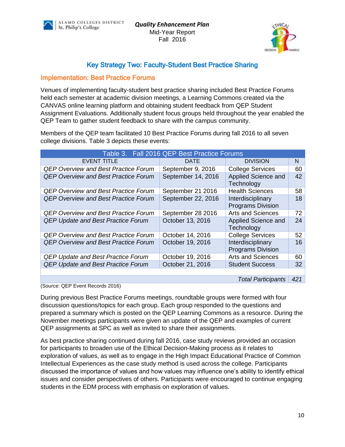



# Key Strategy Two: Faculty-Student Best Practice Sharing

### Implementation: Best Practice Forums

Venues of implementing faculty-student best practice sharing included Best Practice Forums held each semester at academic division meetings, a Learning Commons created via the CANVAS online learning platform and obtaining student feedback from QEP Student Assignment Evaluations. Additionally student focus groups held throughout the year enabled the QEP Team to gather student feedback to share with the campus community.

Members of the QEP team facilitated 10 Best Practice Forums during fall 2016 to all seven college divisions. Table 3 depicts these events:

| Table 3. Fall 2016 QEP Best Practice Forums |                    |                                               |    |  |  |
|---------------------------------------------|--------------------|-----------------------------------------------|----|--|--|
| <b>EVENT TITLE</b>                          | <b>DATE</b>        | <b>DIVISION</b>                               | N  |  |  |
| <b>QEP Overview and Best Practice Forum</b> | September 9, 2016  | <b>College Services</b>                       | 60 |  |  |
| <b>QEP Overview and Best Practice Forum</b> | September 14, 2016 | Applied Science and<br>Technology             | 42 |  |  |
| <b>QEP Overview and Best Practice Forum</b> | September 21 2016  | <b>Health Sciences</b>                        | 58 |  |  |
| <b>QEP Overview and Best Practice Forum</b> | September 22, 2016 | Interdisciplinary<br><b>Programs Division</b> | 18 |  |  |
| <b>QEP Overview and Best Practice Forum</b> | September 28 2016  | <b>Arts and Sciences</b>                      | 72 |  |  |
| <b>QEP Update and Best Practice Forum</b>   | October 13, 2016   | Applied Science and<br>Technology             | 24 |  |  |
| <b>QEP Overview and Best Practice Forum</b> | October 14, 2016   | <b>College Services</b>                       | 52 |  |  |
| <b>QEP Overview and Best Practice Forum</b> | October 19, 2016   | Interdisciplinary<br><b>Programs Division</b> | 16 |  |  |
| <b>QEP Update and Best Practice Forum</b>   | October 19, 2016   | <b>Arts and Sciences</b>                      | 60 |  |  |
| <b>QEP Update and Best Practice Forum</b>   | October 21, 2016   | <b>Student Success</b>                        | 32 |  |  |
|                                             |                    |                                               |    |  |  |

(Source: QEP Event Records 2016)

*Total Participants 421*

During previous Best Practice Forums meetings, roundtable groups were formed with four discussion questions/topics for each group. Each group responded to the questions and prepared a summary which is posted on the QEP Learning Commons as a resource. During the November meetings participants were given an update of the QEP and examples of current QEP assignments at SPC as well as invited to share their assignments.

As best practice sharing continued during fall 2016, case study reviews provided an occasion for participants to broaden use of the Ethical Decision-Making process as it relates to exploration of values, as well as to engage in the High Impact Educational Practice of Common Intellectual Experiences as the case study method is used across the college. Participants discussed the importance of values and how values may influence one's ability to identify ethical issues and consider perspectives of others. Participants were encouraged to continue engaging students in the EDM process with emphasis on exploration of values.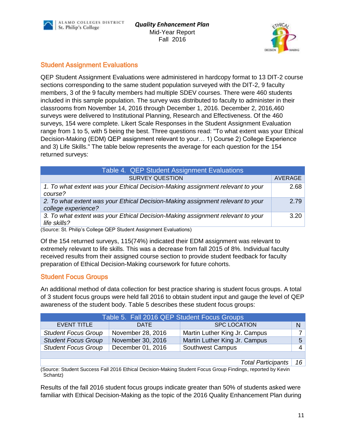



# Student Assignment Evaluations

QEP Student Assignment Evaluations were administered in hardcopy format to 13 DIT-2 course sections corresponding to the same student population surveyed with the DIT-2, 9 faculty members, 3 of the 9 faculty members had multiple SDEV courses. There were 460 students included in this sample population. The survey was distributed to faculty to administer in their classrooms from November 14, 2016 through December 1, 2016. December 2, 2016,460 surveys were delivered to Institutional Planning, Research and Effectiveness. Of the 460 surveys, 154 were complete. Likert Scale Responses in the Student Assignment Evaluation range from 1 to 5, with 5 being the best. Three questions read: "To what extent was your Ethical Decision-Making (EDM) QEP assignment relevant to your… 1) Course 2) College Experience and 3) Life Skills." The table below represents the average for each question for the 154 returned surveys:

| Table 4. QEP Student Assignment Evaluations                                                           |         |  |  |  |
|-------------------------------------------------------------------------------------------------------|---------|--|--|--|
| <b>SURVEY QUESTION</b>                                                                                | AVERAGE |  |  |  |
| 1. To what extent was your Ethical Decision-Making assignment relevant to your<br>course?             | 2.68    |  |  |  |
| 2. To what extent was your Ethical Decision-Making assignment relevant to your<br>college experience? | 2.79    |  |  |  |
| 3. To what extent was your Ethical Decision-Making assignment relevant to your<br>life skills?        | 3.20    |  |  |  |

(Source: St. Philip's College QEP Student Assignment Evaluations)

Of the 154 returned surveys, 115(74%) indicated their EDM assignment was relevant to extremely relevant to life skills. This was a decrease from fall 2015 of 8%. Individual faculty received results from their assigned course section to provide student feedback for faculty preparation of Ethical Decision-Making coursework for future cohorts.

# Student Focus Groups

An additional method of data collection for best practice sharing is student focus groups. A total of 3 student focus groups were held fall 2016 to obtain student input and gauge the level of QEP awareness of the student body. Table 5 describes these student focus groups:

| Table 5. Fall 2016 QEP Student Focus Groups |                   |                               |   |  |  |  |  |
|---------------------------------------------|-------------------|-------------------------------|---|--|--|--|--|
| <b>EVENT TITLE</b>                          | <b>DATE</b>       | <b>SPC LOCATION</b>           | N |  |  |  |  |
| <b>Student Focus Group</b>                  | November 28, 2016 | Martin Luther King Jr. Campus |   |  |  |  |  |
| <b>Student Focus Group</b>                  | November 30, 2016 | Martin Luther King Jr. Campus | 5 |  |  |  |  |
| <b>Student Focus Group</b>                  | December 01, 2016 | <b>Southwest Campus</b>       |   |  |  |  |  |
|                                             |                   |                               |   |  |  |  |  |

*Total Participants 16*

(Source: Student Success Fall 2016 Ethical Decision-Making Student Focus Group Findings, reported by Kevin Schantz)

Results of the fall 2016 student focus groups indicate greater than 50% of students asked were familiar with Ethical Decision-Making as the topic of the 2016 Quality Enhancement Plan during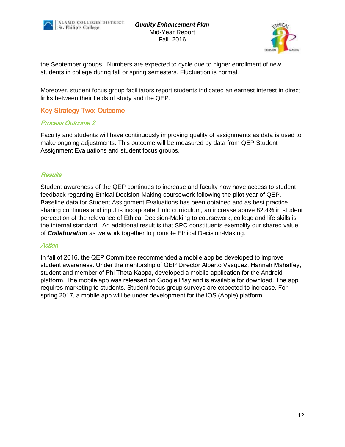



the September groups. Numbers are expected to cycle due to higher enrollment of new students in college during fall or spring semesters. Fluctuation is normal.

Moreover, student focus group facilitators report students indicated an earnest interest in direct links between their fields of study and the QEP.

#### Key Strategy Two: Outcome

#### Process Outcome 2

Faculty and students will have continuously improving quality of assignments as data is used to make ongoing adjustments. This outcome will be measured by data from QEP Student Assignment Evaluations and student focus groups.

#### **Results**

Student awareness of the QEP continues to increase and faculty now have access to student feedback regarding Ethical Decision-Making coursework following the pilot year of QEP. Baseline data for Student Assignment Evaluations has been obtained and as best practice sharing continues and input is incorporated into curriculum, an increase above 82.4% in student perception of the relevance of Ethical Decision-Making to coursework, college and life skills is the internal standard. An additional result is that SPC constituents exemplify our shared value of *Collaboration* as we work together to promote Ethical Decision-Making.

#### **Action**

In fall of 2016, the QEP Committee recommended a mobile app be developed to improve student awareness. Under the mentorship of QEP Director Alberto Vasquez, Hannah Mahaffey, student and member of Phi Theta Kappa, developed a mobile application for the Android platform. The mobile app was released on Google Play and is available for download. The app requires marketing to students. Student focus group surveys are expected to increase. For spring 2017, a mobile app will be under development for the iOS (Apple) platform.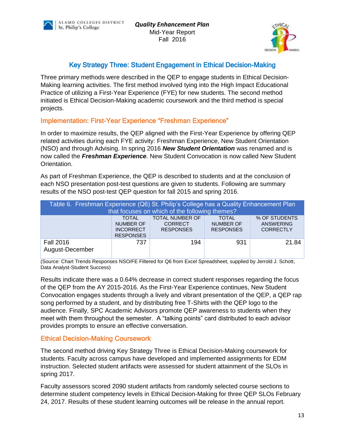



# Key Strategy Three: Student Engagement in Ethical Decision-Making

Three primary methods were described in the QEP to engage students in Ethical Decision-Making learning activities. The first method involved tying into the High Impact Educational Practice of utilizing a First-Year Experience (FYE) for new students. The second method initiated is Ethical Decision-Making academic coursework and the third method is special projects.

# Implementation: First-Year Experience "Freshman Experience"

In order to maximize results, the QEP aligned with the First-Year Experience by offering QEP related activities during each FYE activity: Freshman Experience, New Student Orientation (NSO) and through Advising. In spring 2016 *New Student Orientation* was renamed and is now called the *Freshman Experience*. New Student Convocation is now called New Student Orientation.

As part of Freshman Experience, the QEP is described to students and at the conclusion of each NSO presentation post-test questions are given to students. Following are summary results of the NSO post-test QEP question for fall 2015 and spring 2016.

| Table 6. Freshman Experience (Q6) St. Philip's College has a Quality Enhancement Plan<br>that focuses on which of the following themes?                                                                                                                   |     |     |     |       |  |  |  |  |
|-----------------------------------------------------------------------------------------------------------------------------------------------------------------------------------------------------------------------------------------------------------|-----|-----|-----|-------|--|--|--|--|
| <b>TOTAL NUMBER OF</b><br>% OF STUDENTS<br><b>TOTAL</b><br><b>TOTAL</b><br><b>NUMBER OF</b><br><b>NUMBER OF</b><br><b>ANSWERING</b><br><b>CORRECT</b><br><b>RESPONSES</b><br><b>RESPONSES</b><br><b>CORRECTLY</b><br><b>INCORRECT</b><br><b>RESPONSES</b> |     |     |     |       |  |  |  |  |
| <b>Fall 2016</b><br>August-December                                                                                                                                                                                                                       | 737 | 194 | 931 | 21.84 |  |  |  |  |

(Source: Chart Trends Responses NSO/FE Filtered for Q6 from Excel Spreadsheet, supplied by Jerrold J. Schott, Data Analyst-Student Success)

Results indicate there was a 0.64% decrease in correct student responses regarding the focus of the QEP from the AY 2015-2016. As the First-Year Experience continues, New Student Convocation engages students through a lively and vibrant presentation of the QEP, a QEP rap song performed by a student, and by distributing free T-Shirts with the QEP logo to the audience. Finally, SPC Academic Advisors promote QEP awareness to students when they meet with them throughout the semester. A "talking points" card distributed to each advisor provides prompts to ensure an effective conversation.

#### Ethical Decision-Making Coursework

The second method driving Key Strategy Three is Ethical Decision-Making coursework for students. Faculty across campus have developed and implemented assignments for EDM instruction. Selected student artifacts were assessed for student attainment of the SLOs in spring 2017.

Faculty assessors scored 2090 student artifacts from randomly selected course sections to determine student competency levels in Ethical Decision-Making for three QEP SLOs February 24, 2017. Results of these student learning outcomes will be release in the annual report.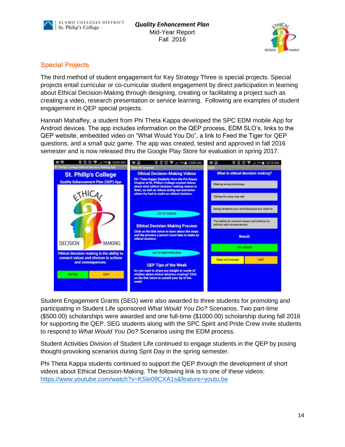



# Special Projects

The third method of student engagement for Key Strategy Three is special projects. Special projects entail curricular or co-curricular student engagement by direct participation in learning about Ethical Decision-Making through designing, creating or facilitating a project such as creating a video, research presentation or service learning. Following are examples of student engagement in QEP special projects.

Hannah Mahaffey, a student from Phi Theta Kappa developed the SPC EDM mobile App for Android devices. The app includes information on the QEP process, EDM SLO's, links to the QEP website, embedded video on "What Would You Do", a link to Feed the Tiger for QEP questions, and a small quiz game. The app was created, tested and approved in fall 2016 semester and is now released thru the Google Play Store for evaluation in spring 2017.



Student Engagement Grants (SEG) were also awarded to three students for promoting and participating in Student Life sponsored *What Would You Do?* Scenarios. Two part-time (\$500.00) scholarships were awarded and one full-time (\$1000.00) scholarship during fall 2016 for supporting the QEP. SEG students along with the SPC Spirit and Pride Crew invite students to respond to *What Would You Do?* Scenarios using the EDM process.

Student Activities Division of Student Life continued to engage students in the QEP by posing thought-provoking scenarios during Sprit Day in the spring semester.

Phi Theta Kappa students continued to support the QEP through the development of short videos about Ethical Decision-Making. The following link is to one of these videos: <https://www.youtube.com/watch?v=KSle09CXA1s&feature=youtu.be>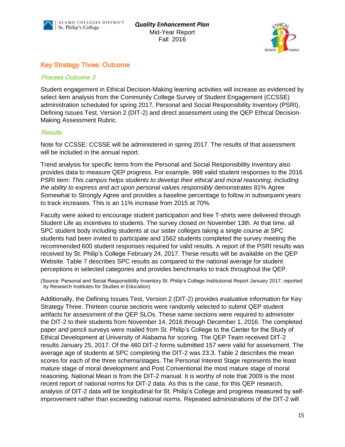



# Key Strategy Three: Outcome

#### Process Outcome 3

Student engagement in Ethical Decision-Making learning activities will increase as evidenced by select item analysis from the Community College Survey of Student Engagement (CCSSE) administration scheduled for spring 2017, Personal and Social Responsibility Inventory (PSRI), Defining Issues Test, Version 2 (DIT-2) and direct assessment using the QEP Ethical Decision-Making Assessment Rubric.

#### **Results**

Note for CCSSE: CCSSE will be administered in spring 2017. The results of that assessment will be included in the annual report.

Trend analysis for specific items from the Personal and Social Responsibility Inventory also provides data to measure QEP progress. For example, 998 valid student responses to the 2016 PSRI item: *This campus helps students to develop their ethical and moral reasoning, including the ability to express and act upon personal values responsibly* demonstrates 81% Agree Somewhat to Strongly Agree and provides a baseline percentage to follow in subsequent years to track increases. This is an 11% increase from 2015 at 70%.

Faculty were asked to encourage student participation and free T-shirts were delivered through Student Life as incentives to students. The survey closed on November 13th. At that time, all SPC student body including students at our sister colleges taking a single course at SPC students had been invited to participate and 1562 students completed the survey meeting the recommended 600 student responses required for valid results. A report of the PSRI results was received by St. Philip's College February 24, 2017. These results will be available on the [QEP](file:///F:/The%20complete%20PSRI%20report%20for%20Fall%202015%20is%20available%20on%20the%20QEP%20website)  [Website.](file:///F:/The%20complete%20PSRI%20report%20for%20Fall%202015%20is%20available%20on%20the%20QEP%20website) Table 7 describes SPC results as compared to the national average for student perceptions in selected categories and provides benchmarks to track throughout the QEP.

(Source: Personal and Social Responsibility Inventory St. Philip's College Institutional Report January 2017, reported by Research Institutes for Studies in Education)

Additionally, the Defining Issues Test, Version 2 (DIT-2) provides evaluative information for Key Strategy Three. Thirteen course sections were randomly selected to submit QEP student artifacts for assessment of the QEP SLOs. These same sections were required to administer the DIT-2 to their students from November 14, 2016 through December 1, 2016. The completed paper and pencil surveys were mailed from St. Philip's College to the Center for the Study of Ethical Development at University of Alabama for scoring. The QEP Team received DIT-2 results January 25, 2017. Of the 460 DIT-2 forms submitted 157 were valid for assessment. The average age of students at SPC completing the DIT-2 was 23.3. Table 2 describes the mean scores for each of the three schema/stages. The Personal Interest Stage represents the least mature stage of moral development and Post Conventional the most mature stage of moral reasoning. National Mean is from the DIT-2 manual. It is worthy of note that 2009 is the most recent report of national norms for DIT-2 data. As this is the case, for this QEP research, analysis of DIT-2 data will be longitudinal for St. Philip's College and progress measured by selfimprovement rather than exceeding national norms. Repeated administrations of the DIT-2 will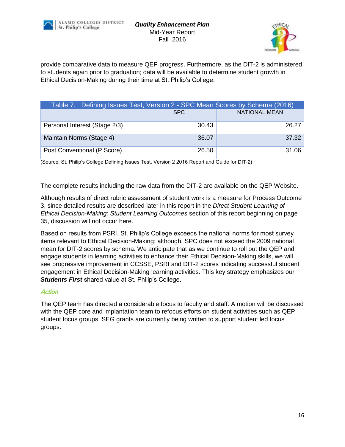



provide comparative data to measure QEP progress. Furthermore, as the DIT-2 is administered to students again prior to graduation; data will be available to determine student growth in Ethical Decision-Making during their time at St. Philip's College.

| Table 7. Defining Issues Test, Version 2 - SPC Mean Scores by Schema (2016) |       |                      |  |  |  |  |
|-----------------------------------------------------------------------------|-------|----------------------|--|--|--|--|
|                                                                             | SPC.  | <b>NATIONAL MEAN</b> |  |  |  |  |
| Personal Interest (Stage 2/3)                                               | 30.43 | 26.27                |  |  |  |  |
| Maintain Norms (Stage 4)                                                    | 36.07 | 37.32                |  |  |  |  |
| Post Conventional (P Score)                                                 | 26.50 | 31.06                |  |  |  |  |

(Source: St. Philip's College Defining Issues Test, Version 2 2016 Report and Guide for DIT-2)

The complete results including the raw data from the DIT-2 are available on the [QEP Website.](http://alamo.edu/uploadedFiles/SPC/Faculty_and_Staff/QEP/Files/SPC%20DIT-2%20Fall%202015.pdf)

Although results of direct rubric assessment of student work is a measure for Process Outcome 3, since detailed results are described later in this report in the *Direct Student Learning of Ethical Decision-Making: Student Learning Outcomes* section of this report beginning on page 35, discussion will not occur here.

Based on results from PSRI, St. Philip's College exceeds the national norms for most survey items relevant to Ethical Decision-Making; although, SPC does not exceed the 2009 national mean for DIT-2 scores by schema. We anticipate that as we continue to roll out the QEP and engage students in learning activities to enhance their Ethical Decision-Making skills, we will see progressive improvement in CCSSE, PSRI and DIT-2 scores indicating successful student engagement in Ethical Decision-Making learning activities. This key strategy emphasizes our *Students First* shared value at St. Philip's College.

#### **Action**

The QEP team has directed a considerable focus to faculty and staff. A motion will be discussed with the QEP core and implantation team to refocus efforts on student activities such as QEP student focus groups. SEG grants are currently being written to support student led focus groups.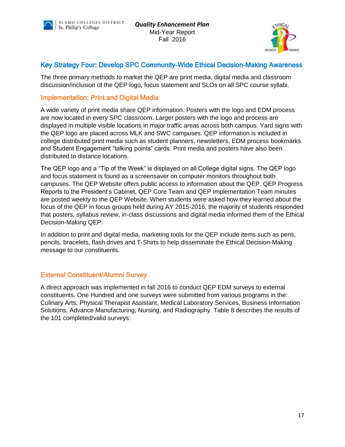



# Key Strategy Four: Develop SPC Community-Wide Ethical Decision-Making Awareness

The three primary methods to market the QEP are print media, digital media and classroom discussion/inclusion of the QEP logo, focus statement and SLOs on all SPC course syllabi.

### Implementation: Print and Digital Media

A wide variety of print media share QEP information. Posters with the logo and EDM process are now located in every SPC classroom. Larger posters with the logo and process are displayed in multiple visible locations in major traffic areas across both campus. Yard signs with the QEP logo are placed across MLK and SWC campuses. QEP information is included in college distributed print media such as student planners, newsletters, EDM process bookmarks and Student Engagement "talking points" cards. Print media and posters have also been distributed to distance locations.

The QEP logo and a "Tip of the Week" is displayed on all College digital signs. The QEP logo and focus statement is found as a screensaver on computer monitors throughout both campuses. The QEP Website offers public access to information about the QEP. QEP Progress Reports to the President's Cabinet, QEP Core Team and QEP Implementation Team minutes are posted weekly to the QEP Website. When students were asked how they learned about the focus of the QEP in focus groups held during AY 2015-2016, the majority of students responded that posters, syllabus review, in-class discussions and digital media informed them of the Ethical Decision-Making QEP.

In addition to print and digital media, marketing tools for the QEP include items such as pens, pencils, bracelets, flash drives and T-Shirts to help disseminate the Ethical Decision-Making message to our constituents.

# External Constituent/Alumni Survey

A direct approach was implemented in fall 2016 to conduct QEP EDM surveys to external constituents. One Hundred and one surveys were submitted from various programs in the: Culinary Arts, Physical Therapist Assistant, Medical Laboratory Services, Business Information Solutions, Advance Manufacturing, Nursing, and Radiography. Table 8 describes the results of the 101 completed/valid surveys: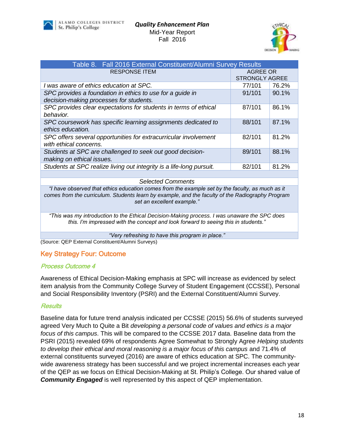



| Table 8. Fall 2016 External Constituent/Alumni Survey Results        |                       |       |  |  |  |  |
|----------------------------------------------------------------------|-----------------------|-------|--|--|--|--|
| <b>RESPONSE ITEM</b>                                                 | <b>AGREE OR</b>       |       |  |  |  |  |
|                                                                      | <b>STRONGLY AGREE</b> |       |  |  |  |  |
| I was aware of ethics education at SPC.                              | 77/101                | 76.2% |  |  |  |  |
| SPC provides a foundation in ethics to use for a guide in            | 91/101                | 90.1% |  |  |  |  |
| decision-making processes for students.                              |                       |       |  |  |  |  |
| SPC provides clear expectations for students in terms of ethical     | 87/101                | 86.1% |  |  |  |  |
| behavior.                                                            |                       |       |  |  |  |  |
| SPC coursework has specific learning assignments dedicated to        | 88/101                | 87.1% |  |  |  |  |
| ethics education.                                                    |                       |       |  |  |  |  |
| SPC offers several opportunities for extracurricular involvement     | 82/101                | 81.2% |  |  |  |  |
| with ethical concerns.                                               |                       |       |  |  |  |  |
| Students at SPC are challenged to seek out good decision-            | 89/101                | 88.1% |  |  |  |  |
| making on ethical issues.                                            |                       |       |  |  |  |  |
| Students at SPC realize living out integrity is a life-long pursuit. | 82/101                | 81.2% |  |  |  |  |
|                                                                      |                       |       |  |  |  |  |

#### *Selected Comments*

*"I have observed that ethics education comes from the example set by the faculty, as much as it comes from the curriculum. Students learn by example, and the faculty of the Radiography Program set an excellent example."*

*"This was my introduction to the Ethical Decision-Making process. I was unaware the SPC does this. I'm impressed with the concept and look forward to seeing this in students."*

*"Very refreshing to have this program in place."*

(Source: QEP External Constituent/Alumni Surveys)

#### Key Strategy Four: Outcome

#### Process Outcome 4

Awareness of Ethical Decision-Making emphasis at SPC will increase as evidenced by select item analysis from the Community College Survey of Student Engagement (CCSSE), Personal and Social Responsibility Inventory (PSRI) and the External Constituent/Alumni Survey.

#### **Results**

Baseline data for future trend analysis indicated per CCSSE (2015) 56.6% of students surveyed agreed Very Much to Quite a Bit *developing a personal code of values and ethics is a major focus of this campus*. This will be compared to the CCSSE 2017 data. Baseline data from the PSRI (2015) revealed 69% of respondents Agree Somewhat to Strongly Agree *Helping students to develop their ethical and moral reasoning is a major focus of this campus* and 71.4% of external constituents surveyed (2016) are aware of ethics education at SPC. The communitywide awareness strategy has been successful and we project incremental increases each year of the QEP as we focus on Ethical Decision-Making at St. Philip's College. Our shared value of *Community Engaged* is well represented by this aspect of QEP implementation.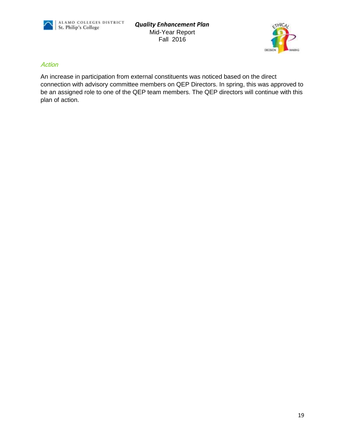

*Quality Enhancement Plan* Mid-Year Report Fall 2016



#### **Action**

An increase in participation from external constituents was noticed based on the direct connection with advisory committee members on QEP Directors. In spring, this was approved to be an assigned role to one of the QEP team members. The QEP directors will continue with this plan of action.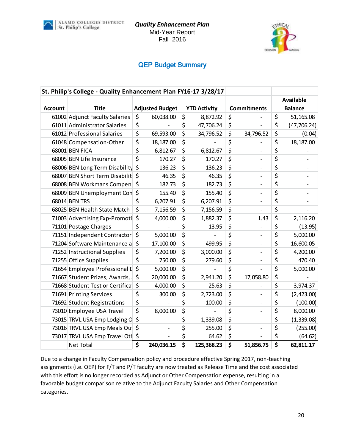



# QEP Budget Summary

|                | St. Philip's College - Quality Enhancement Plan FY16-17 3/28/17 |    |                        |    |                     |    |                          |                    |
|----------------|-----------------------------------------------------------------|----|------------------------|----|---------------------|----|--------------------------|--------------------|
|                |                                                                 |    |                        |    |                     |    |                          | <b>Available</b>   |
| <b>Account</b> | <b>Title</b>                                                    |    | <b>Adjusted Budget</b> |    | <b>YTD Activity</b> |    | <b>Commitments</b>       | <b>Balance</b>     |
|                | 61002 Adjunct Faculty Salaries                                  | \$ | 60,038.00              | \$ | 8,872.92            | \$ |                          | \$<br>51,165.08    |
|                | 61011 Administrator Salaries                                    | \$ |                        | \$ | 47,706.24           | \$ |                          | \$<br>(47, 706.24) |
|                | 61012 Professional Salaries                                     | \$ | 69,593.00              | \$ | 34,796.52           | \$ | 34,796.52                | \$<br>(0.04)       |
|                | 61048 Compensation-Other                                        | \$ | 18,187.00              | \$ |                     | \$ |                          | \$<br>18,187.00    |
|                | 68001 BEN FICA                                                  | \$ | 6,812.67               | \$ | 6,812.67            | \$ | $\overline{a}$           | \$                 |
|                | 68005 BEN Life Insurance                                        | \$ | 170.27                 | \$ | 170.27              | \$ | $\qquad \qquad -$        | \$                 |
|                | 68006 BEN Long Term Disability \$                               |    | 136.23                 | \$ | 136.23              | \$ |                          | \$                 |
|                | 68007 BEN Short Term Disabilit                                  |    | 46.35                  | \$ | 46.35               | \$ | $\overline{a}$           | \$                 |
|                | 68008 BEN Workmans Compen: \$                                   |    | 182.73                 | \$ | 182.73              | \$ | $\overline{a}$           | \$                 |
|                | 68009 BEN Unemployment Con \$                                   |    | 155.40                 | \$ | 155.40              | \$ | $\overline{\phantom{0}}$ | \$                 |
|                | 68014 BEN TRS                                                   | \$ | 6,207.91               | \$ | 6,207.91            | \$ | $\qquad \qquad -$        | \$                 |
|                | 68025 BEN Health State Match                                    | \$ | 7,156.59               | \$ | 7,156.59            | \$ |                          | \$                 |
|                | 71003 Advertising Exp-Promoti                                   | \$ | 4,000.00               | \$ | 1,882.37            | \$ | 1.43                     | \$<br>2,116.20     |
|                | 71101 Postage Charges                                           | \$ |                        | \$ | 13.95               | \$ |                          | \$<br>(13.95)      |
|                | 71151 Independent Contractor                                    | \$ | 5,000.00               | \$ |                     | \$ | $\overline{a}$           | \$<br>5,000.00     |
|                | 71204 Software Maintenance a                                    | \$ | 17,100.00              | \$ | 499.95              | \$ | -                        | \$<br>16,600.05    |
|                | 71252 Instructional Supplies                                    | \$ | 7,200.00               | \$ | 3,000.00            | \$ | -                        | \$<br>4,200.00     |
|                | 71255 Office Supplies                                           | \$ | 750.00                 | \$ | 279.60              | \$ | $\overline{\phantom{0}}$ | \$<br>470.40       |
|                | 71654 Employee Professional D                                   | \$ | 5,000.00               | \$ |                     | \$ |                          | \$<br>5,000.00     |
|                | 71667 Student Prizes, Awards, A                                 |    | 20,000.00              | \$ | 2,941.20            | \$ | 17,058.80                | \$                 |
|                | 71668 Student Test or Certifical \$                             |    | 4,000.00               | \$ | 25.63               | \$ |                          | \$<br>3,974.37     |
|                | 71691 Printing Services                                         | \$ | 300.00                 | \$ | 2,723.00            | \$ | -                        | \$<br>(2,423.00)   |
|                | 71692 Student Registrations                                     | \$ |                        | \$ | 100.00              | \$ | -                        | \$<br>(100.00)     |
|                | 73010 Employee USA Travel                                       | \$ | 8,000.00               | \$ |                     | \$ | $\overline{a}$           | \$<br>8,000.00     |
|                | 73015 TRVL USA Emp Lodging O                                    | \$ |                        | \$ | 1,339.08            | \$ | $\overline{\phantom{0}}$ | \$<br>(1,339.08)   |
|                | 73016 TRVL USA Emp Meals Out \$                                 |    |                        | \$ | 255.00              | \$ | $\overline{a}$           | \$<br>(255.00)     |
|                | 73017 TRVL USA Emp Travel Oth \$                                |    |                        | \$ | 64.62               | \$ |                          | \$<br>(64.62)      |
|                | <b>Net Total</b>                                                | \$ | 240,036.15             | \$ | 125,368.23          | \$ | 51,856.75                | \$<br>62,811.17    |

Due to a change in Faculty Compensation policy and procedure effective Spring 2017, non-teaching assignments (i.e. QEP) for F/T and P/T faculty are now treated as Release Time and the cost associated with this effort is no longer recorded as Adjunct or Other Compensation expense, resulting in a favorable budget comparison relative to the Adjunct Faculty Salaries and Other Compensation categories.